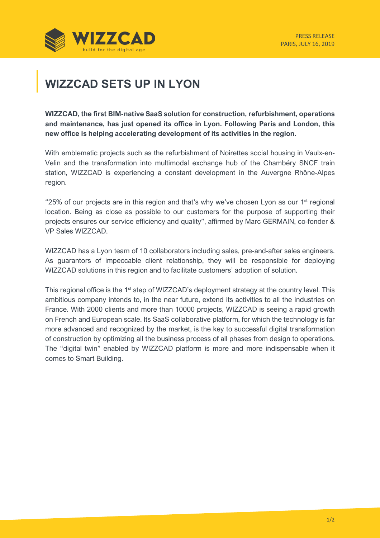

## **WIZZCAD SETS UP IN LYON**

**WIZZCAD, the first BIM-native SaaS solution for construction, refurbishment, operations and maintenance, has just opened its office in Lyon. Following Paris and London, this new office is helping accelerating development of its activities in the region.** 

With emblematic projects such as the refurbishment of Noirettes social housing in Vaulx-en-Velin and the transformation into multimodal exchange hub of the Chambéry SNCF train station, WIZZCAD is experiencing a constant development in the Auvergne Rhône-Alpes region.

"25% of our projects are in this region and that's why we've chosen Lyon as our  $1<sup>st</sup>$  regional location. Being as close as possible to our customers for the purpose of supporting their projects ensures our service efficiency and quality", affirmed by Marc GERMAIN, co-fonder & VP Sales WIZZCAD.

WIZZCAD has a Lyon team of 10 collaborators including sales, pre-and-after sales engineers. As guarantors of impeccable client relationship, they will be responsible for deploying WIZZCAD solutions in this region and to facilitate customers' adoption of solution.

This regional office is the 1<sup>st</sup> step of WIZZCAD's deployment strategy at the country level. This ambitious company intends to, in the near future, extend its activities to all the industries on France. With 2000 clients and more than 10000 projects, WIZZCAD is seeing a rapid growth on French and European scale. Its SaaS collaborative platform, for which the technology is far more advanced and recognized by the market, is the key to successful digital transformation of construction by optimizing all the business process of all phases from design to operations. The "digital twin" enabled by WIZZCAD platform is more and more indispensable when it comes to Smart Building.